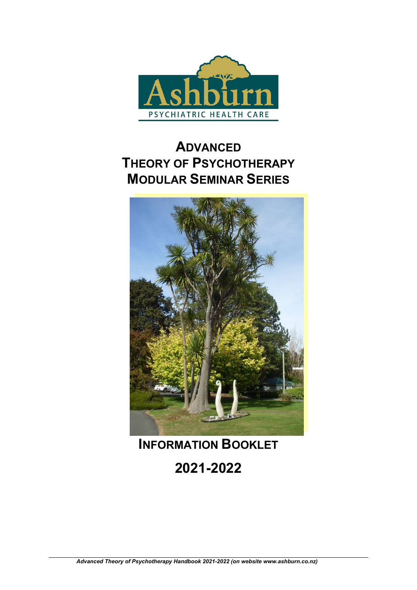

# **ADVANCED THEORY OF PSYCHOTHERAPY MODULAR SEMINAR SERIES**



# **INFORMATION BOOKLET**

**2021-2022**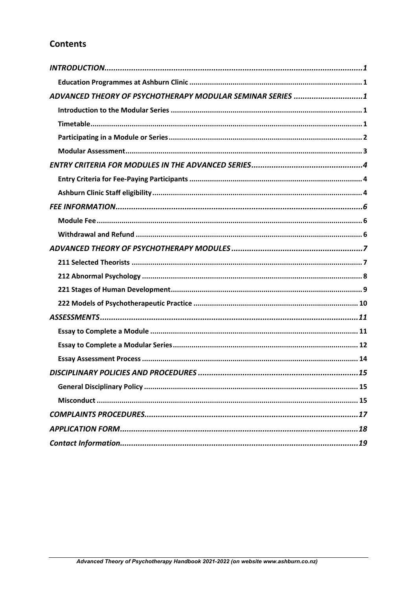# **Contents**

| ADVANCED THEORY OF PSYCHOTHERAPY MODULAR SEMINAR SERIES 1 |
|-----------------------------------------------------------|
|                                                           |
|                                                           |
|                                                           |
|                                                           |
|                                                           |
|                                                           |
|                                                           |
|                                                           |
|                                                           |
|                                                           |
|                                                           |
|                                                           |
|                                                           |
|                                                           |
|                                                           |
|                                                           |
|                                                           |
|                                                           |
|                                                           |
|                                                           |
|                                                           |
|                                                           |
|                                                           |
|                                                           |
|                                                           |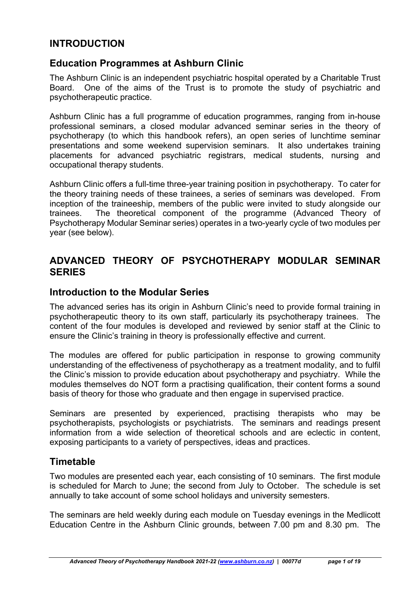# **INTRODUCTION**

# **Education Programmes at Ashburn Clinic**

The Ashburn Clinic is an independent psychiatric hospital operated by a Charitable Trust Board. One of the aims of the Trust is to promote the study of psychiatric and psychotherapeutic practice.

Ashburn Clinic has a full programme of education programmes, ranging from in-house professional seminars, a closed modular advanced seminar series in the theory of psychotherapy (to which this handbook refers), an open series of lunchtime seminar presentations and some weekend supervision seminars. It also undertakes training placements for advanced psychiatric registrars, medical students, nursing and occupational therapy students.

Ashburn Clinic offers a full-time three-year training position in psychotherapy. To cater for the theory training needs of these trainees, a series of seminars was developed. From inception of the traineeship, members of the public were invited to study alongside our trainees. The theoretical component of the programme (Advanced Theory of Psychotherapy Modular Seminar series) operates in a two-yearly cycle of two modules per year (see below).

# **ADVANCED THEORY OF PSYCHOTHERAPY MODULAR SEMINAR SERIES**

### **Introduction to the Modular Series**

The advanced series has its origin in Ashburn Clinic's need to provide formal training in psychotherapeutic theory to its own staff, particularly its psychotherapy trainees. The content of the four modules is developed and reviewed by senior staff at the Clinic to ensure the Clinic's training in theory is professionally effective and current.

The modules are offered for public participation in response to growing community understanding of the effectiveness of psychotherapy as a treatment modality, and to fulfil the Clinic's mission to provide education about psychotherapy and psychiatry. While the modules themselves do NOT form a practising qualification, their content forms a sound basis of theory for those who graduate and then engage in supervised practice.

Seminars are presented by experienced, practising therapists who may be psychotherapists, psychologists or psychiatrists. The seminars and readings present information from a wide selection of theoretical schools and are eclectic in content, exposing participants to a variety of perspectives, ideas and practices.

## **Timetable**

Two modules are presented each year, each consisting of 10 seminars. The first module is scheduled for March to June; the second from July to October. The schedule is set annually to take account of some school holidays and university semesters.

The seminars are held weekly during each module on Tuesday evenings in the Medlicott Education Centre in the Ashburn Clinic grounds, between 7.00 pm and 8.30 pm. The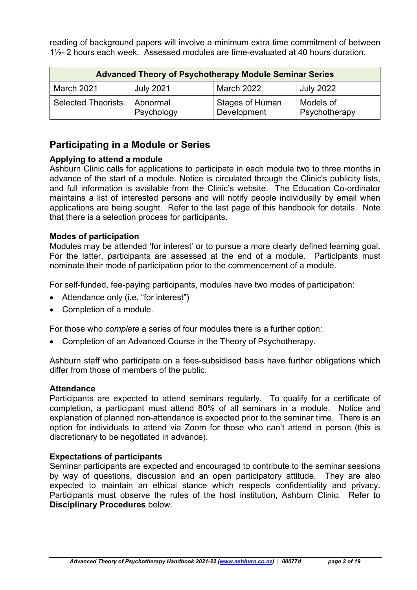reading of background papers will involve a minimum extra time commitment of between 1½- 2 hours each week. Assessed modules are time-evaluated at 40 hours duration.

| <b>Advanced Theory of Psychotherapy Module Seminar Series</b> |                        |                                       |                            |  |
|---------------------------------------------------------------|------------------------|---------------------------------------|----------------------------|--|
| March 2021                                                    | <b>July 2021</b>       | <b>March 2022</b>                     | <b>July 2022</b>           |  |
| <b>Selected Theorists</b>                                     | Abnormal<br>Psychology | <b>Stages of Human</b><br>Development | Models of<br>Psychotherapy |  |

# **Participating in a Module or Series**

### **Applying to attend a module**

Ashburn Clinic calls for applications to participate in each module two to three months in advance of the start of a module. Notice is circulated through the Clinic's publicity lists, and full information is available from the Clinic's website. The Education Co-ordinator maintains a list of interested persons and will notify people individually by email when applications are being sought. Refer to the last page of this handbook for details. Note that there is a selection process for participants.

### **Modes of participation**

Modules may be attended 'for interest' or to pursue a more clearly defined learning goal. For the latter, participants are assessed at the end of a module. Participants must nominate their mode of participation prior to the commencement of a module.

For self-funded, fee-paying participants, modules have two modes of participation:

- Attendance only (i.e. "for interest")
- Completion of a module.

For those who *complete* a series of four modules there is a further option:

Completion of an Advanced Course in the Theory of Psychotherapy.

Ashburn staff who participate on a fees-subsidised basis have further obligations which differ from those of members of the public.

### **Attendance**

Participants are expected to attend seminars regularly. To qualify for a certificate of completion, a participant must attend 80% of all seminars in a module. Notice and explanation of planned non-attendance is expected prior to the seminar time. There is an option for individuals to attend via Zoom for those who can't attend in person (this is discretionary to be negotiated in advance).

### **Expectations of participants**

Seminar participants are expected and encouraged to contribute to the seminar sessions by way of questions, discussion and an open participatory attitude. They are also expected to maintain an ethical stance which respects confidentiality and privacy. Participants must observe the rules of the host institution, Ashburn Clinic. Refer to **Disciplinary Procedures** below.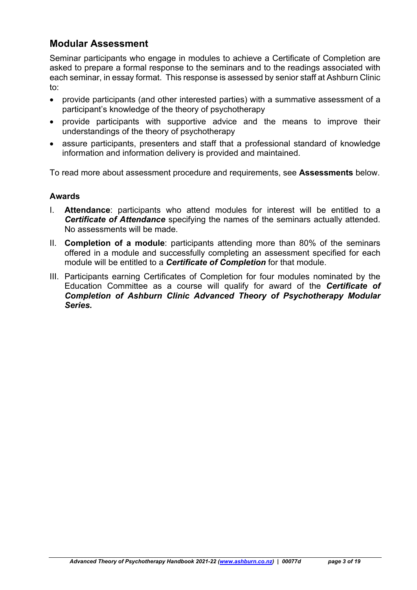# **Modular Assessment**

Seminar participants who engage in modules to achieve a Certificate of Completion are asked to prepare a formal response to the seminars and to the readings associated with each seminar, in essay format. This response is assessed by senior staff at Ashburn Clinic to:

- provide participants (and other interested parties) with a summative assessment of a participant's knowledge of the theory of psychotherapy
- provide participants with supportive advice and the means to improve their understandings of the theory of psychotherapy
- assure participants, presenters and staff that a professional standard of knowledge information and information delivery is provided and maintained.

To read more about assessment procedure and requirements, see **Assessments** below.

### **Awards**

- I. **Attendance**: participants who attend modules for interest will be entitled to a *Certificate of Attendance* specifying the names of the seminars actually attended. No assessments will be made.
- II. **Completion of a module**: participants attending more than 80% of the seminars offered in a module and successfully completing an assessment specified for each module will be entitled to a *Certificate of Completion* for that module.
- III. Participants earning Certificates of Completion for four modules nominated by the Education Committee as a course will qualify for award of the *Certificate of Completion of Ashburn Clinic Advanced Theory of Psychotherapy Modular Series.*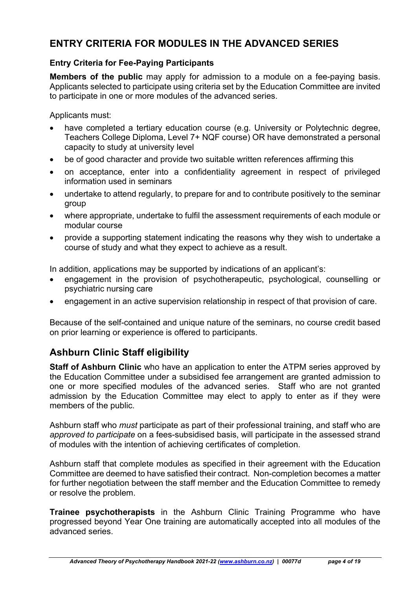# **ENTRY CRITERIA FOR MODULES IN THE ADVANCED SERIES**

### **Entry Criteria for Fee-Paying Participants**

**Members of the public** may apply for admission to a module on a fee-paying basis. Applicants selected to participate using criteria set by the Education Committee are invited to participate in one or more modules of the advanced series.

Applicants must:

- have completed a tertiary education course (e.g. University or Polytechnic degree, Teachers College Diploma, Level 7+ NQF course) OR have demonstrated a personal capacity to study at university level
- be of good character and provide two suitable written references affirming this
- on acceptance, enter into a confidentiality agreement in respect of privileged information used in seminars
- undertake to attend regularly, to prepare for and to contribute positively to the seminar group
- where appropriate, undertake to fulfil the assessment requirements of each module or modular course
- provide a supporting statement indicating the reasons why they wish to undertake a course of study and what they expect to achieve as a result.

In addition, applications may be supported by indications of an applicant's:

- engagement in the provision of psychotherapeutic, psychological, counselling or psychiatric nursing care
- engagement in an active supervision relationship in respect of that provision of care.

Because of the self-contained and unique nature of the seminars, no course credit based on prior learning or experience is offered to participants.

# **Ashburn Clinic Staff eligibility**

**Staff of Ashburn Clinic** who have an application to enter the ATPM series approved by the Education Committee under a subsidised fee arrangement are granted admission to one or more specified modules of the advanced series. Staff who are not granted admission by the Education Committee may elect to apply to enter as if they were members of the public.

Ashburn staff who *must* participate as part of their professional training, and staff who are *approved to participate* on a fees-subsidised basis, will participate in the assessed strand of modules with the intention of achieving certificates of completion.

Ashburn staff that complete modules as specified in their agreement with the Education Committee are deemed to have satisfied their contract. Non-completion becomes a matter for further negotiation between the staff member and the Education Committee to remedy or resolve the problem.

**Trainee psychotherapists** in the Ashburn Clinic Training Programme who have progressed beyond Year One training are automatically accepted into all modules of the advanced series.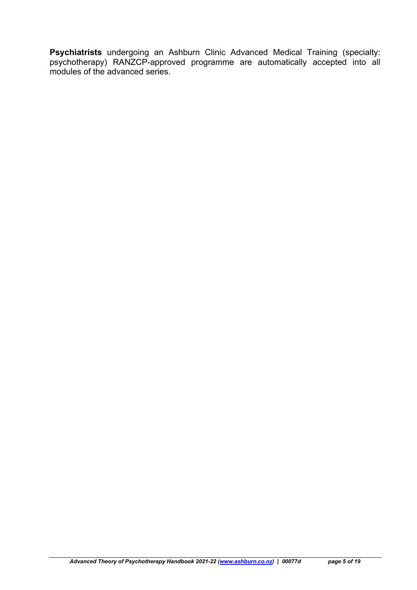**Psychiatrists** undergoing an Ashburn Clinic Advanced Medical Training (specialty: psychotherapy) RANZCP-approved programme are automatically accepted into all modules of the advanced series.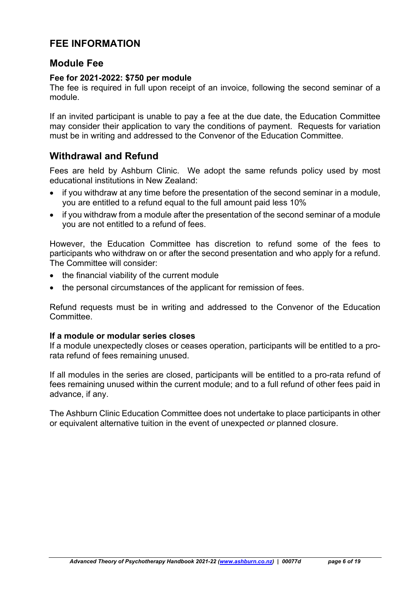# **FEE INFORMATION**

### **Module Fee**

### **Fee for 2021-2022: \$750 per module**

The fee is required in full upon receipt of an invoice, following the second seminar of a module.

If an invited participant is unable to pay a fee at the due date, the Education Committee may consider their application to vary the conditions of payment. Requests for variation must be in writing and addressed to the Convenor of the Education Committee.

# **Withdrawal and Refund**

Fees are held by Ashburn Clinic. We adopt the same refunds policy used by most educational institutions in New Zealand:

- if you withdraw at any time before the presentation of the second seminar in a module, you are entitled to a refund equal to the full amount paid less 10%
- if you withdraw from a module after the presentation of the second seminar of a module you are not entitled to a refund of fees.

However, the Education Committee has discretion to refund some of the fees to participants who withdraw on or after the second presentation and who apply for a refund. The Committee will consider:

- the financial viability of the current module
- the personal circumstances of the applicant for remission of fees.

Refund requests must be in writing and addressed to the Convenor of the Education Committee.

### **If a module or modular series closes**

If a module unexpectedly closes or ceases operation, participants will be entitled to a prorata refund of fees remaining unused.

If all modules in the series are closed, participants will be entitled to a pro-rata refund of fees remaining unused within the current module; and to a full refund of other fees paid in advance, if any.

The Ashburn Clinic Education Committee does not undertake to place participants in other or equivalent alternative tuition in the event of unexpected *or* planned closure.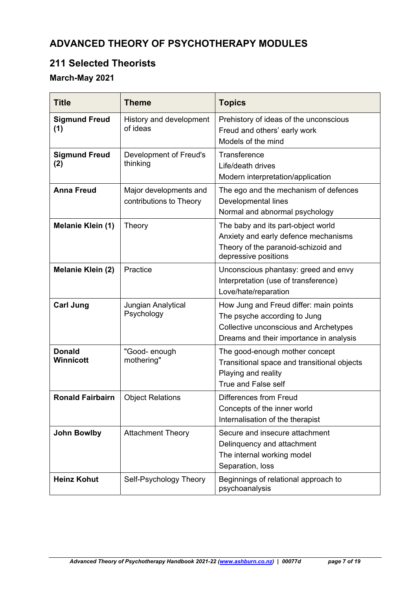# **ADVANCED THEORY OF PSYCHOTHERAPY MODULES**

# **211 Selected Theorists**

# **March-May 2021**

| <b>Title</b>                | Theme                                             | <b>Topics</b>                                                                                                                                              |  |
|-----------------------------|---------------------------------------------------|------------------------------------------------------------------------------------------------------------------------------------------------------------|--|
| <b>Sigmund Freud</b><br>(1) | History and development<br>of ideas               | Prehistory of ideas of the unconscious<br>Freud and others' early work<br>Models of the mind                                                               |  |
| <b>Sigmund Freud</b><br>(2) | Development of Freud's<br>thinking                | <b>Transference</b><br>Life/death drives<br>Modern interpretation/application                                                                              |  |
| <b>Anna Freud</b>           | Major developments and<br>contributions to Theory | The ego and the mechanism of defences<br>Developmental lines<br>Normal and abnormal psychology                                                             |  |
| Melanie Klein (1)           | Theory                                            | The baby and its part-object world<br>Anxiety and early defence mechanisms<br>Theory of the paranoid-schizoid and<br>depressive positions                  |  |
| Melanie Klein (2)           | Practice                                          | Unconscious phantasy: greed and envy<br>Interpretation (use of transference)<br>Love/hate/reparation                                                       |  |
| <b>Carl Jung</b>            | Jungian Analytical<br>Psychology                  | How Jung and Freud differ: main points<br>The psyche according to Jung<br>Collective unconscious and Archetypes<br>Dreams and their importance in analysis |  |
| <b>Donald</b><br>Winnicott  | "Good- enough<br>mothering"                       | The good-enough mother concept<br>Transitional space and transitional objects<br>Playing and reality<br><b>True and False self</b>                         |  |
| <b>Ronald Fairbairn</b>     | <b>Object Relations</b>                           | Differences from Freud<br>Concepts of the inner world<br>Internalisation of the therapist                                                                  |  |
| <b>John Bowlby</b>          | <b>Attachment Theory</b>                          | Secure and insecure attachment<br>Delinquency and attachment<br>The internal working model<br>Separation, loss                                             |  |
| <b>Heinz Kohut</b>          | Self-Psychology Theory                            | Beginnings of relational approach to<br>psychoanalysis                                                                                                     |  |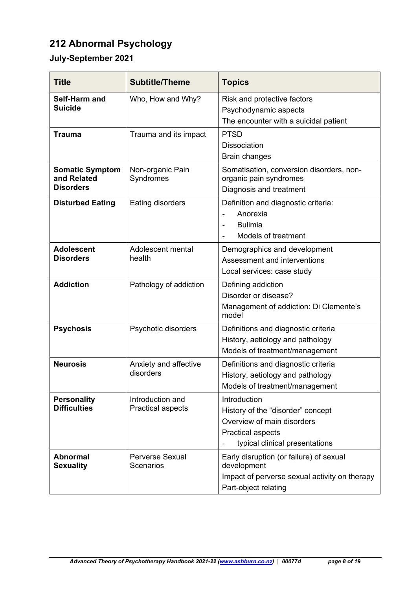# **212 Abnormal Psychology**

# **July-September 2021**

| <b>Title</b>                                              | <b>Subtitle/Theme</b>                        | <b>Topics</b>                                                                                                                          |  |
|-----------------------------------------------------------|----------------------------------------------|----------------------------------------------------------------------------------------------------------------------------------------|--|
| Self-Harm and<br><b>Suicide</b>                           | Who, How and Why?                            | Risk and protective factors<br>Psychodynamic aspects<br>The encounter with a suicidal patient                                          |  |
| <b>Trauma</b>                                             | Trauma and its impact                        | <b>PTSD</b><br><b>Dissociation</b><br><b>Brain changes</b>                                                                             |  |
| <b>Somatic Symptom</b><br>and Related<br><b>Disorders</b> | Non-organic Pain<br>Syndromes                | Somatisation, conversion disorders, non-<br>organic pain syndromes<br>Diagnosis and treatment                                          |  |
| <b>Disturbed Eating</b>                                   | Eating disorders                             | Definition and diagnostic criteria:<br>Anorexia<br><b>Bulimia</b><br>$\qquad \qquad \blacksquare$<br><b>Models of treatment</b>        |  |
| <b>Adolescent</b><br><b>Disorders</b>                     | Adolescent mental<br>health                  | Demographics and development<br>Assessment and interventions<br>Local services: case study                                             |  |
| <b>Addiction</b>                                          | Pathology of addiction                       | Defining addiction<br>Disorder or disease?<br>Management of addiction: Di Clemente's<br>model                                          |  |
| <b>Psychosis</b>                                          | Psychotic disorders                          | Definitions and diagnostic criteria<br>History, aetiology and pathology<br>Models of treatment/management                              |  |
| <b>Neurosis</b>                                           | Anxiety and affective<br>disorders           | Definitions and diagnostic criteria<br>History, aetiology and pathology<br>Models of treatment/management                              |  |
| <b>Personality</b><br><b>Difficulties</b>                 | Introduction and<br><b>Practical aspects</b> | Introduction<br>History of the "disorder" concept<br>Overview of main disorders<br>Practical aspects<br>typical clinical presentations |  |
| <b>Abnormal</b><br><b>Sexuality</b>                       | <b>Perverse Sexual</b><br>Scenarios          | Early disruption (or failure) of sexual<br>development<br>Impact of perverse sexual activity on therapy<br>Part-object relating        |  |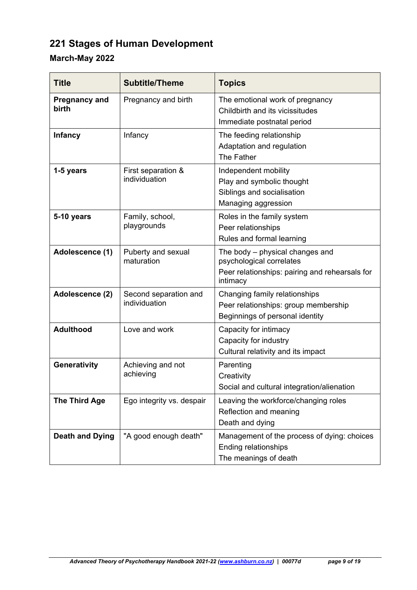# **221 Stages of Human Development**

# **March-May 2022**

| <b>Title</b>                  | <b>Subtitle/Theme</b>                  | <b>Topics</b>                                                                                                             |  |
|-------------------------------|----------------------------------------|---------------------------------------------------------------------------------------------------------------------------|--|
| <b>Pregnancy and</b><br>birth | Pregnancy and birth                    | The emotional work of pregnancy<br>Childbirth and its vicissitudes<br>Immediate postnatal period                          |  |
| <b>Infancy</b>                | Infancy                                | The feeding relationship<br>Adaptation and regulation<br>The Father                                                       |  |
| 1-5 years                     | First separation &<br>individuation    | Independent mobility<br>Play and symbolic thought<br>Siblings and socialisation<br>Managing aggression                    |  |
| 5-10 years                    | Family, school,<br>playgrounds         | Roles in the family system<br>Peer relationships<br>Rules and formal learning                                             |  |
| Adolescence (1)               | Puberty and sexual<br>maturation       | The body – physical changes and<br>psychological correlates<br>Peer relationships: pairing and rehearsals for<br>intimacy |  |
| Adolescence (2)               | Second separation and<br>individuation | Changing family relationships<br>Peer relationships: group membership<br>Beginnings of personal identity                  |  |
| <b>Adulthood</b>              | Love and work                          | Capacity for intimacy<br>Capacity for industry<br>Cultural relativity and its impact                                      |  |
| Generativity                  | Achieving and not<br>achieving         | Parenting<br>Creativity<br>Social and cultural integration/alienation                                                     |  |
| <b>The Third Age</b>          | Ego integrity vs. despair              | Leaving the workforce/changing roles<br>Reflection and meaning<br>Death and dying                                         |  |
| <b>Death and Dying</b>        | "A good enough death"                  | Management of the process of dying: choices<br><b>Ending relationships</b><br>The meanings of death                       |  |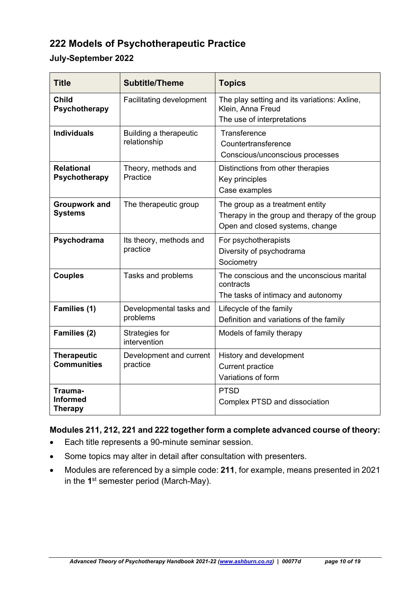# **222 Models of Psychotherapeutic Practice**

### **July-September 2022**

| <b>Title</b>                                 | <b>Subtitle/Theme</b>                  | <b>Topics</b>                                                                                                       |  |
|----------------------------------------------|----------------------------------------|---------------------------------------------------------------------------------------------------------------------|--|
| <b>Child</b><br>Psychotherapy                | Facilitating development               | The play setting and its variations: Axline,<br>Klein, Anna Freud<br>The use of interpretations                     |  |
| <b>Individuals</b>                           | Building a therapeutic<br>relationship | Transference<br>Countertransference<br>Conscious/unconscious processes                                              |  |
| <b>Relational</b><br>Psychotherapy           | Theory, methods and<br>Practice        | Distinctions from other therapies<br>Key principles<br>Case examples                                                |  |
| <b>Groupwork and</b><br><b>Systems</b>       | The therapeutic group                  | The group as a treatment entity<br>Therapy in the group and therapy of the group<br>Open and closed systems, change |  |
| Psychodrama                                  | Its theory, methods and<br>practice    | For psychotherapists<br>Diversity of psychodrama<br>Sociometry                                                      |  |
| <b>Couples</b>                               | Tasks and problems                     | The conscious and the unconscious marital<br>contracts<br>The tasks of intimacy and autonomy                        |  |
| Families (1)                                 | Developmental tasks and<br>problems    | Lifecycle of the family<br>Definition and variations of the family                                                  |  |
| Families (2)                                 | Strategies for<br>intervention         | Models of family therapy                                                                                            |  |
| <b>Therapeutic</b><br><b>Communities</b>     | Development and current<br>practice    | History and development<br><b>Current practice</b><br>Variations of form                                            |  |
| Trauma-<br><b>Informed</b><br><b>Therapy</b> |                                        | <b>PTSD</b><br><b>Complex PTSD and dissociation</b>                                                                 |  |

### **Modules 211, 212, 221 and 222 together form a complete advanced course of theory:**

- Each title represents a 90-minute seminar session.
- Some topics may alter in detail after consultation with presenters.
- Modules are referenced by a simple code: **211**, for example, means presented in 2021 in the **1**st semester period (March-May).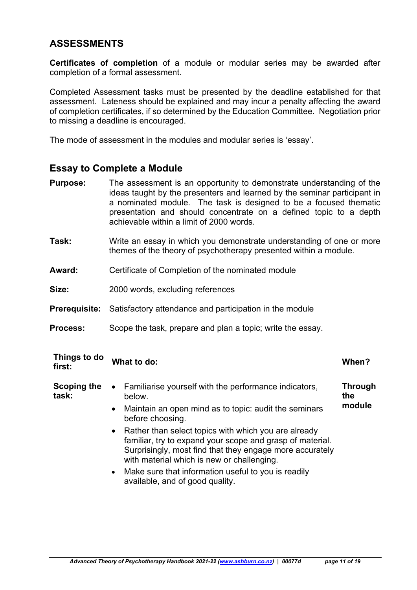# **ASSESSMENTS**

**Certificates of completion** of a module or modular series may be awarded after completion of a formal assessment.

Completed Assessment tasks must be presented by the deadline established for that assessment. Lateness should be explained and may incur a penalty affecting the award of completion certificates, if so determined by the Education Committee. Negotiation prior to missing a deadline is encouraged.

The mode of assessment in the modules and modular series is 'essay'.

## **Essay to Complete a Module**

- **Purpose:** The assessment is an opportunity to demonstrate understanding of the ideas taught by the presenters and learned by the seminar participant in a nominated module. The task is designed to be a focused thematic presentation and should concentrate on a defined topic to a depth achievable within a limit of 2000 words.
- **Task:** Write an essay in which you demonstrate understanding of one or more themes of the theory of psychotherapy presented within a module.
- **Award:** Certificate of Completion of the nominated module
- **Size:** 2000 words, excluding references
- **Prerequisite:** Satisfactory attendance and participation in the module
- **Process:** Scope the task, prepare and plan a topic; write the essay.

| Things to do<br>first: | What to do:                                                                                                                                                                                                                              | When?                           |
|------------------------|------------------------------------------------------------------------------------------------------------------------------------------------------------------------------------------------------------------------------------------|---------------------------------|
| Scoping the<br>task:   | Familiarise yourself with the performance indicators,<br>$\bullet$<br>below.<br>Maintain an open mind as to topic: audit the seminars<br>$\bullet$<br>before choosing.                                                                   | <b>Through</b><br>the<br>module |
|                        | Rather than select topics with which you are already<br>$\bullet$<br>familiar, try to expand your scope and grasp of material.<br>Surprisingly, most find that they engage more accurately<br>with material which is new or challenging. |                                 |
|                        | Make sure that information useful to you is readily<br>$\bullet$<br>available, and of good quality.                                                                                                                                      |                                 |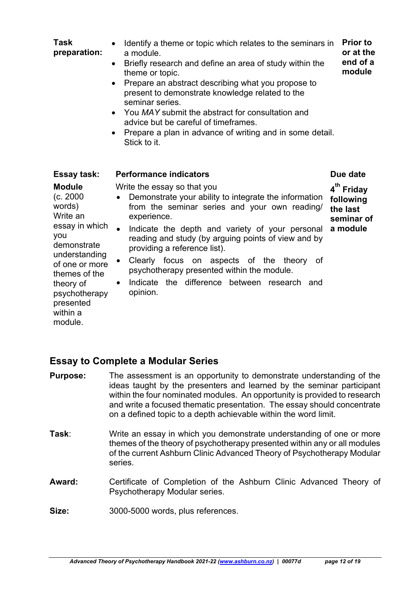| <b>Task</b><br>preparation:                                                                                                                                                                                    | Identify a theme or topic which relates to the seminars in<br>a module.<br>Briefly research and define an area of study within the<br>$\bullet$<br>theme or topic.<br>Prepare an abstract describing what you propose to<br>present to demonstrate knowledge related to the<br>seminar series.<br>You MAY submit the abstract for consultation and<br>$\bullet$<br>advice but be careful of timeframes.<br>Prepare a plan in advance of writing and in some detail.<br>Stick to it.          | <b>Prior to</b><br>or at the<br>end of a<br>module                        |
|----------------------------------------------------------------------------------------------------------------------------------------------------------------------------------------------------------------|----------------------------------------------------------------------------------------------------------------------------------------------------------------------------------------------------------------------------------------------------------------------------------------------------------------------------------------------------------------------------------------------------------------------------------------------------------------------------------------------|---------------------------------------------------------------------------|
| <b>Essay task:</b>                                                                                                                                                                                             | <b>Performance indicators</b>                                                                                                                                                                                                                                                                                                                                                                                                                                                                | Due date                                                                  |
| <b>Module</b><br>(c. 2000)<br>words)<br>Write an<br>essay in which<br>you<br>demonstrate<br>understanding<br>of one or more<br>themes of the<br>theory of<br>psychotherapy<br>presented<br>within a<br>module. | Write the essay so that you<br>Demonstrate your ability to integrate the information<br>from the seminar series and your own reading/<br>experience.<br>Indicate the depth and variety of your personal<br>$\bullet$<br>reading and study (by arguing points of view and by<br>providing a reference list).<br>Clearly focus on aspects of the theory of<br>$\bullet$<br>psychotherapy presented within the module.<br>Indicate the difference between research and<br>$\bullet$<br>opinion. | 4 <sup>th</sup> Friday<br>following<br>the last<br>seminar of<br>a module |

## **Essay to Complete a Modular Series**

- **Purpose:** The assessment is an opportunity to demonstrate understanding of the ideas taught by the presenters and learned by the seminar participant within the four nominated modules. An opportunity is provided to research and write a focused thematic presentation. The essay should concentrate on a defined topic to a depth achievable within the word limit.
- **Task**: Write an essay in which you demonstrate understanding of one or more themes of the theory of psychotherapy presented within any or all modules of the current Ashburn Clinic Advanced Theory of Psychotherapy Modular series.
- Award: Certificate of Completion of the Ashburn Clinic Advanced Theory of Psychotherapy Modular series.
- **Size:** 3000-5000 words, plus references.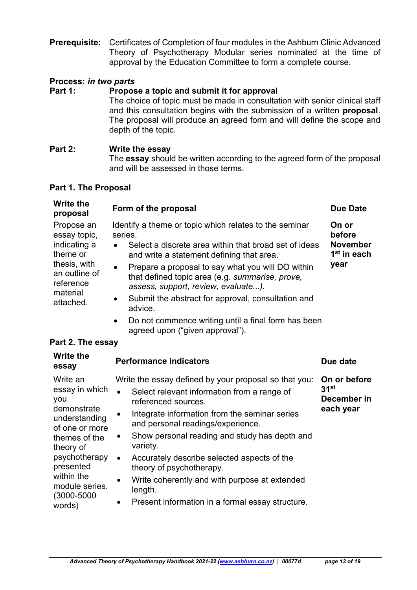**Prerequisite:** Certificates of Completion of four modules in the Ashburn Clinic Advanced Theory of Psychotherapy Modular series nominated at the time of approval by the Education Committee to form a complete course.

### **Process:** *in two parts*

#### Part 1: Propose a topic and submit it for approval

 The choice of topic must be made in consultation with senior clinical staff and this consultation begins with the submission of a written **proposal**. The proposal will produce an agreed form and will define the scope and depth of the topic.

#### **Part 2: Write the essay**

 The **essay** should be written according to the agreed form of the proposal and will be assessed in those terms.

#### **Part 1. The Proposal**

| <b>Write the</b><br>proposal                                                                                                  | Form of the proposal                                                                                                                                                                                                                                                                                                                                                                                                                                                                                                     | <b>Due Date</b>                                                       |
|-------------------------------------------------------------------------------------------------------------------------------|--------------------------------------------------------------------------------------------------------------------------------------------------------------------------------------------------------------------------------------------------------------------------------------------------------------------------------------------------------------------------------------------------------------------------------------------------------------------------------------------------------------------------|-----------------------------------------------------------------------|
| Propose an<br>essay topic,<br>indicating a<br>theme or<br>thesis, with<br>an outline of<br>reference<br>material<br>attached. | Identify a theme or topic which relates to the seminar<br>series.<br>Select a discrete area within that broad set of ideas<br>and write a statement defining that area.<br>Prepare a proposal to say what you will DO within<br>$\bullet$<br>that defined topic area (e.g. summarise, prove,<br>assess, support, review, evaluate).<br>Submit the abstract for approval, consultation and<br>$\bullet$<br>advice.<br>Do not commence writing until a final form has been<br>$\bullet$<br>agreed upon ("given approval"). | On or<br>before<br><b>November</b><br>1 <sup>st</sup> in each<br>year |

#### **Part 2. The essay**

| <b>Write the</b><br>essay                                                                                                                                                                                    | <b>Performance indicators</b>                                                                                                                                                                                                                                                                                                                                                                                                                                                                                                                           | Due date                                                     |
|--------------------------------------------------------------------------------------------------------------------------------------------------------------------------------------------------------------|---------------------------------------------------------------------------------------------------------------------------------------------------------------------------------------------------------------------------------------------------------------------------------------------------------------------------------------------------------------------------------------------------------------------------------------------------------------------------------------------------------------------------------------------------------|--------------------------------------------------------------|
| Write an<br>essay in which<br>you<br>demonstrate<br>understanding<br>of one or more<br>themes of the<br>theory of<br>psychotherapy<br>presented<br>within the<br>module series.<br>$(3000 - 5000)$<br>words) | Write the essay defined by your proposal so that you:<br>Select relevant information from a range of<br>$\bullet$<br>referenced sources.<br>Integrate information from the seminar series<br>$\bullet$<br>and personal readings/experience.<br>Show personal reading and study has depth and<br>$\bullet$<br>variety.<br>Accurately describe selected aspects of the<br>$\bullet$<br>theory of psychotherapy.<br>Write coherently and with purpose at extended<br>$\bullet$<br>length.<br>Present information in a formal essay structure.<br>$\bullet$ | On or before<br>31 <sup>st</sup><br>December in<br>each year |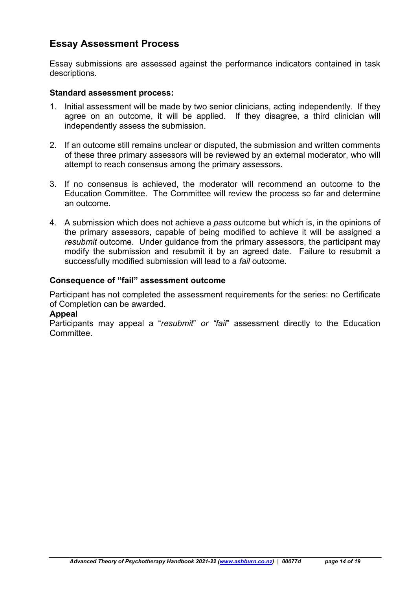# **Essay Assessment Process**

Essay submissions are assessed against the performance indicators contained in task descriptions.

#### **Standard assessment process:**

- 1. Initial assessment will be made by two senior clinicians, acting independently. If they agree on an outcome, it will be applied. If they disagree, a third clinician will independently assess the submission.
- 2. If an outcome still remains unclear or disputed, the submission and written comments of these three primary assessors will be reviewed by an external moderator, who will attempt to reach consensus among the primary assessors.
- 3. If no consensus is achieved, the moderator will recommend an outcome to the Education Committee. The Committee will review the process so far and determine an outcome.
- 4. A submission which does not achieve a *pass* outcome but which is, in the opinions of the primary assessors, capable of being modified to achieve it will be assigned a *resubmit* outcome. Under guidance from the primary assessors, the participant may modify the submission and resubmit it by an agreed date. Failure to resubmit a successfully modified submission will lead to a *fail* outcome*.*

### **Consequence of "fail" assessment outcome**

Participant has not completed the assessment requirements for the series: no Certificate of Completion can be awarded.

#### **Appeal**

Participants may appeal a "*resubmit*" *or "fail*" assessment directly to the Education Committee.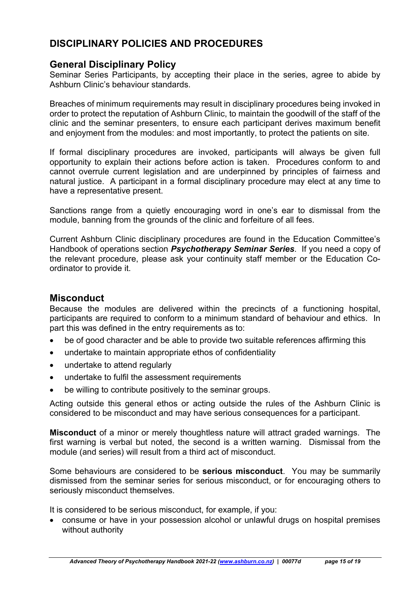# **DISCIPLINARY POLICIES AND PROCEDURES**

## **General Disciplinary Policy**

Seminar Series Participants, by accepting their place in the series, agree to abide by Ashburn Clinic's behaviour standards.

Breaches of minimum requirements may result in disciplinary procedures being invoked in order to protect the reputation of Ashburn Clinic, to maintain the goodwill of the staff of the clinic and the seminar presenters, to ensure each participant derives maximum benefit and enjoyment from the modules: and most importantly, to protect the patients on site.

If formal disciplinary procedures are invoked, participants will always be given full opportunity to explain their actions before action is taken. Procedures conform to and cannot overrule current legislation and are underpinned by principles of fairness and natural justice. A participant in a formal disciplinary procedure may elect at any time to have a representative present.

Sanctions range from a quietly encouraging word in one's ear to dismissal from the module, banning from the grounds of the clinic and forfeiture of all fees.

Current Ashburn Clinic disciplinary procedures are found in the Education Committee's Handbook of operations section *Psychotherapy Seminar Series*. If you need a copy of the relevant procedure, please ask your continuity staff member or the Education Coordinator to provide it.

## **Misconduct**

Because the modules are delivered within the precincts of a functioning hospital, participants are required to conform to a minimum standard of behaviour and ethics. In part this was defined in the entry requirements as to:

- be of good character and be able to provide two suitable references affirming this
- undertake to maintain appropriate ethos of confidentiality
- undertake to attend regularly
- undertake to fulfil the assessment requirements
- be willing to contribute positively to the seminar groups.

Acting outside this general ethos or acting outside the rules of the Ashburn Clinic is considered to be misconduct and may have serious consequences for a participant.

**Misconduct** of a minor or merely thoughtless nature will attract graded warnings. The first warning is verbal but noted, the second is a written warning. Dismissal from the module (and series) will result from a third act of misconduct.

Some behaviours are considered to be **serious misconduct**. You may be summarily dismissed from the seminar series for serious misconduct, or for encouraging others to seriously misconduct themselves.

It is considered to be serious misconduct, for example, if you:

 consume or have in your possession alcohol or unlawful drugs on hospital premises without authority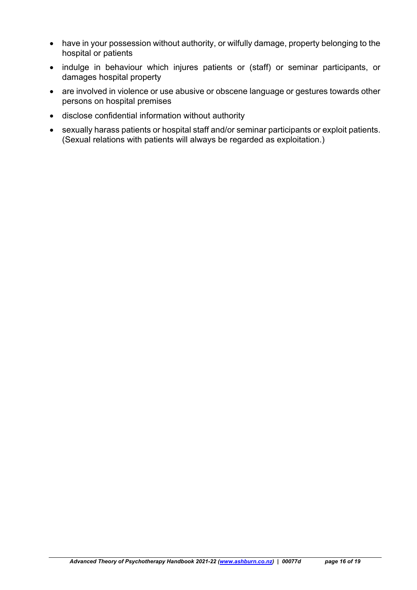- have in your possession without authority, or wilfully damage, property belonging to the hospital or patients
- indulge in behaviour which injures patients or (staff) or seminar participants, or damages hospital property
- are involved in violence or use abusive or obscene language or gestures towards other persons on hospital premises
- disclose confidential information without authority
- sexually harass patients or hospital staff and/or seminar participants or exploit patients. (Sexual relations with patients will always be regarded as exploitation.)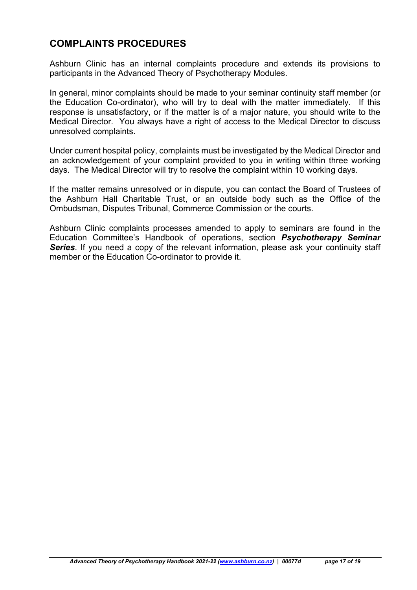# **COMPLAINTS PROCEDURES**

Ashburn Clinic has an internal complaints procedure and extends its provisions to participants in the Advanced Theory of Psychotherapy Modules.

In general, minor complaints should be made to your seminar continuity staff member (or the Education Co-ordinator), who will try to deal with the matter immediately. If this response is unsatisfactory, or if the matter is of a major nature, you should write to the Medical Director. You always have a right of access to the Medical Director to discuss unresolved complaints.

Under current hospital policy, complaints must be investigated by the Medical Director and an acknowledgement of your complaint provided to you in writing within three working days. The Medical Director will try to resolve the complaint within 10 working days.

If the matter remains unresolved or in dispute, you can contact the Board of Trustees of the Ashburn Hall Charitable Trust, or an outside body such as the Office of the Ombudsman, Disputes Tribunal, Commerce Commission or the courts.

Ashburn Clinic complaints processes amended to apply to seminars are found in the Education Committee's Handbook of operations, section *Psychotherapy Seminar*  **Series**. If you need a copy of the relevant information, please ask your continuity staff member or the Education Co-ordinator to provide it.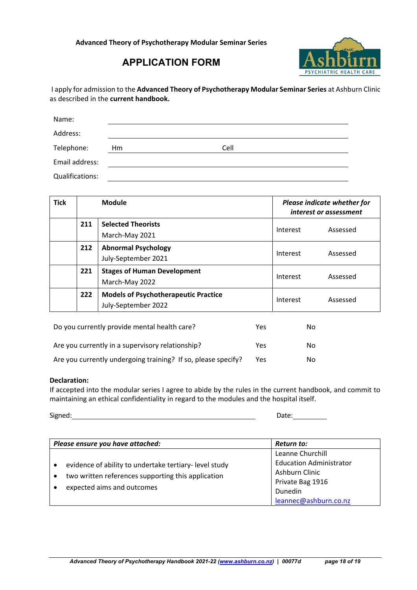

# **APPLICATION FORM**

I apply for admission to the **Advanced Theory of Psychotherapy Modular Seminar Series** at Ashburn Clinic as described in the **current handbook.**

| Name:           |    |      |
|-----------------|----|------|
| Address:        |    |      |
| Telephone:      | Hm | Cell |
| Email address:  |    |      |
| Qualifications: |    |      |

| <b>Tick</b> | <b>Module</b> |                                                                    | Please indicate whether for<br>interest or assessment |          |
|-------------|---------------|--------------------------------------------------------------------|-------------------------------------------------------|----------|
|             | 211           | <b>Selected Theorists</b><br>March-May 2021                        | Interest                                              | Assessed |
|             | 212           | <b>Abnormal Psychology</b><br>July-September 2021                  | Interest                                              | Assessed |
|             | 221           | <b>Stages of Human Development</b><br>March-May 2022               | Interest                                              | Assessed |
|             | 222           | <b>Models of Psychotherapeutic Practice</b><br>July-September 2022 | Interest                                              | Assessed |

| Do you currently provide mental health care?                  | Yes | No |
|---------------------------------------------------------------|-----|----|
| Are you currently in a supervisory relationship?              | Yes | No |
| Are you currently undergoing training? If so, please specify? | Yes | No |

#### **Declaration:**

If accepted into the modular series I agree to abide by the rules in the current handbook, and commit to maintaining an ethical confidentiality in regard to the modules and the hospital itself.

Signed: Date:

| Please ensure you have attached:                                                                                                          | Return to:                                                                                                                   |
|-------------------------------------------------------------------------------------------------------------------------------------------|------------------------------------------------------------------------------------------------------------------------------|
| evidence of ability to undertake tertiary-level study<br>two written references supporting this application<br>expected aims and outcomes | Leanne Churchill<br><b>Education Administrator</b><br>Ashburn Clinic<br>Private Bag 1916<br>Dunedin<br>leannec@ashburn.co.nz |